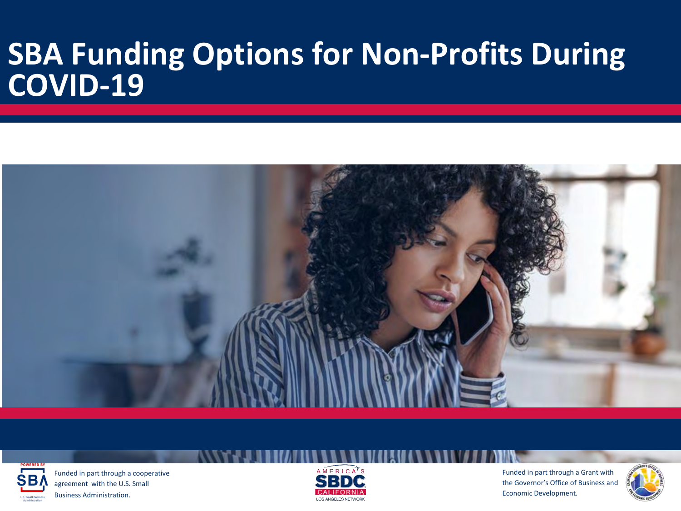### **SBA Funding Options for Non-Profits During COVID-19**





Funded in part through a cooperative agreement with the U.S. Small Business Administration.



Funded in part through a Grant with the Governor's Office of Business and Economic Development.

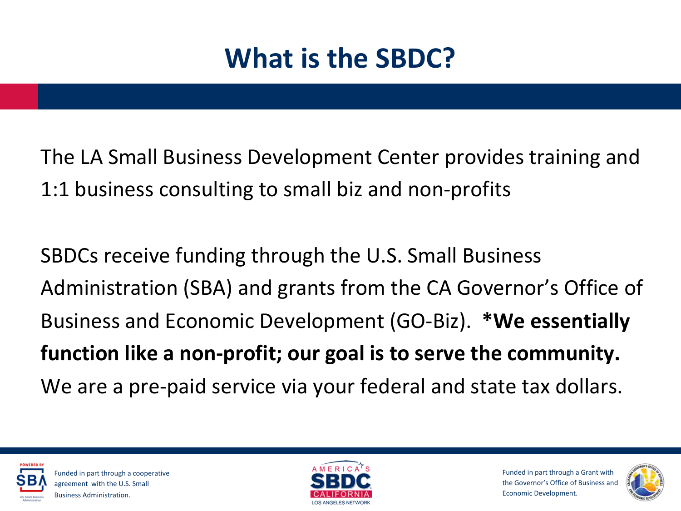## **What is the SBDC?**

The LA Small Business Development Center provides training and 1:1 business consulting to small biz and non-profits

SBDCs receive funding through the U.S. Small Business Administration (SBA) and grants from the CA Governor's Office of Business and Economic Development (GO-Biz). **\*We essentially function like a non-profit; our goal is to serve the community.** We are a pre-paid service via your federal and state tax dollars.





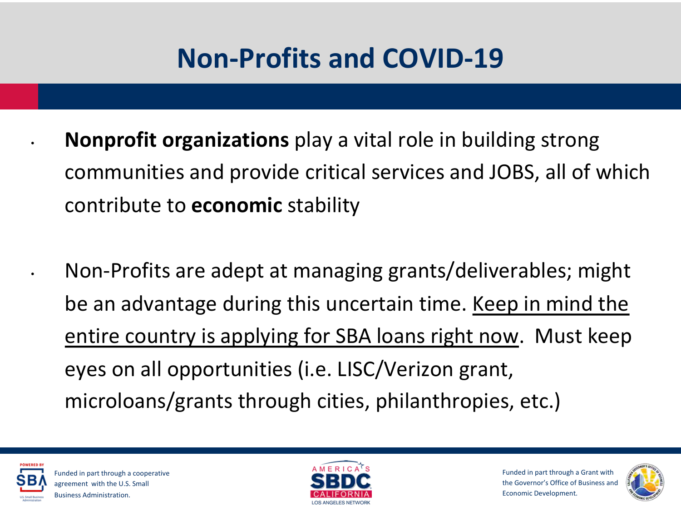### **Non-Profits and COVID-19**

• **Nonprofit organizations** play a vital role in building strong communities and provide critical services and JOBS, all of which contribute to **economic** stability

• Non-Profits are adept at managing grants/deliverables; might be an advantage during this uncertain time. Keep in mind the entire country is applying for SBA loans right now. Must keep eyes on all opportunities (i.e. LISC/Verizon grant, microloans/grants through cities, philanthropies, etc.)





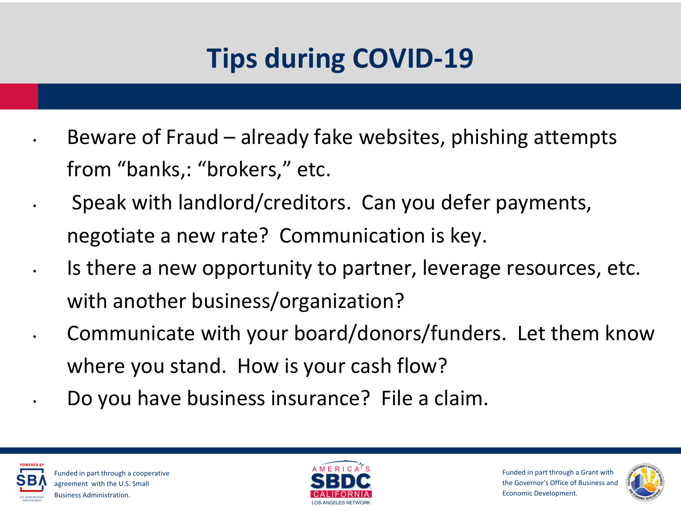# **Tips during COVID-19**

- Beware of Fraud already fake websites, phishing attempts from "banks,: "brokers," etc.
- Speak with landlord/creditors. Can you defer payments, negotiate a new rate? Communication is key.
- Is there a new opportunity to partner, leverage resources, etc. with another business/organization?
- Communicate with your board/donors/funders. Let them know where you stand. How is your cash flow?
	- Do you have business insurance? File a claim.





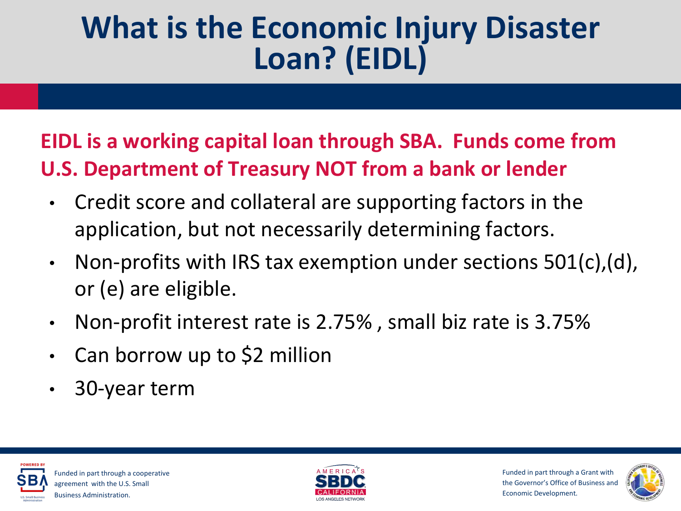## **What is the Economic Injury Disaster Loan? (EIDL)**

### **EIDL is a working capital loan through SBA. Funds come from U.S. Department of Treasury NOT from a bank or lender**

- Credit score and collateral are supporting factors in the application, but not necessarily determining factors.
- Non-profits with IRS tax exemption under sections  $501(c)$ , (d), or (e) are eligible.
- Non-profit interest rate is 2.75% , small biz rate is 3.75%
- Can borrow up to \$2 million
- 30-year term





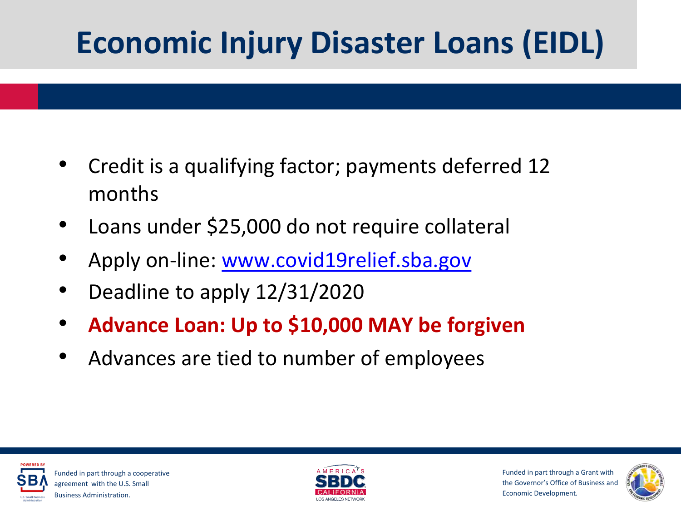# **Economic Injury Disaster Loans (EIDL)**

- Credit is a qualifying factor; payments deferred 12 months
- Loans under \$25,000 do not require collateral
- Apply on-line: [www.covid19relief.sba.gov](http://www.covid19relief.sba.gov/)
- Deadline to apply 12/31/2020
- **Advance Loan: Up to \$10,000 MAY be forgiven**
- Advances are tied to number of employees





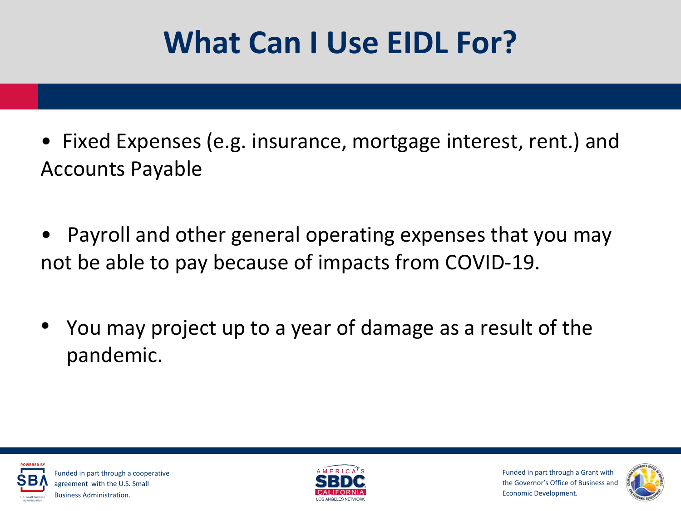# **What Can I Use EIDL For?**

- Fixed Expenses (e.g. insurance, mortgage interest, rent.) and Accounts Payable
- Payroll and other general operating expenses that you may not be able to pay because of impacts from COVID-19.
- You may project up to a year of damage as a result of the pandemic.





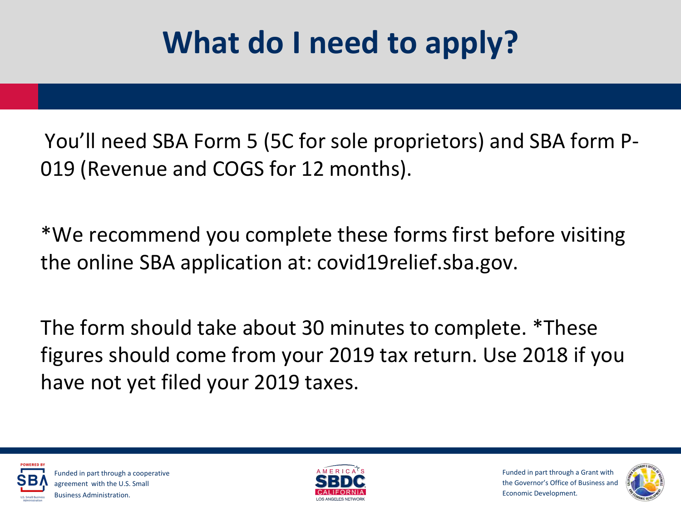# **What do I need to apply?**

You'll need SBA Form 5 (5C for sole proprietors) and SBA form P-019 (Revenue and COGS for 12 months).

\*We recommend you complete these forms first before visiting the online SBA application at: covid19relief.sba.gov.

The form should take about 30 minutes to complete. \*These figures should come from your 2019 tax return. Use 2018 if you have not yet filed your 2019 taxes.





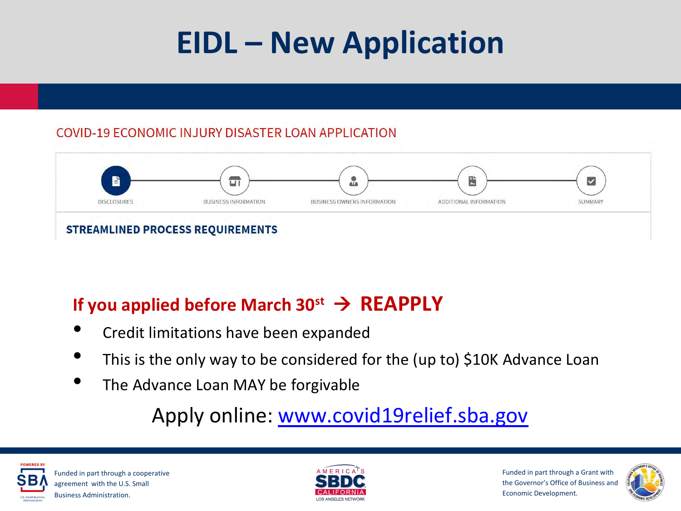# **EIDL – New Application**

#### COVID-19 ECONOMIC INJURY DISASTER LOAN APPLICATION



#### If you applied before March  $30^{st} \rightarrow$  **REAPPLY**

- Credit limitations have been expanded
- This is the only way to be considered for the (up to) \$10K Advance Loan
- The Advance Loan MAY be forgivable

### Apply online: [www.covid19relief.sba.gov](http://www.covid19relief.sba.gov/)





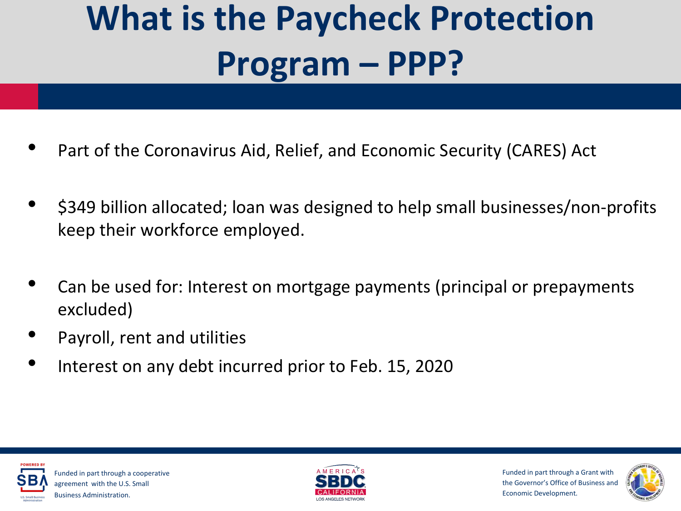# **What is the Paycheck Protection Program – PPP?**

- Part of the Coronavirus Aid, Relief, and Economic Security (CARES) Act
- \$349 billion allocated; loan was designed to help small businesses/non-profits keep their workforce employed.
- Can be used for: Interest on mortgage payments (principal or prepayments excluded)
- Payroll, rent and utilities
- Interest on any debt incurred prior to Feb. 15, 2020





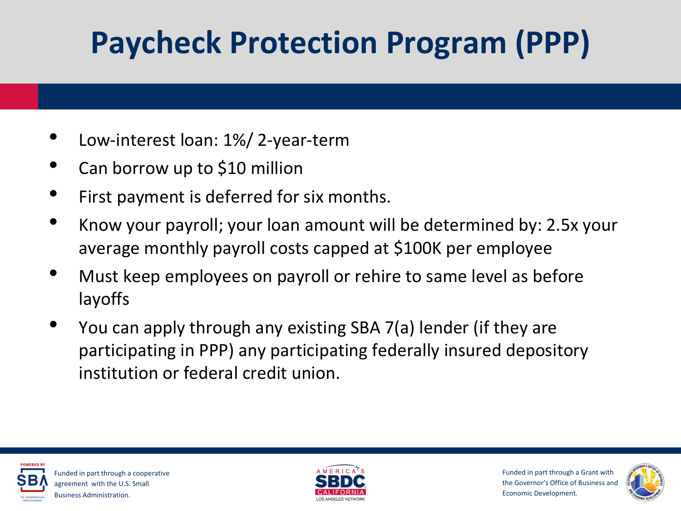# **Paycheck Protection Program (PPP)**

- Low-interest loan: 1%/ 2-year-term
- Can borrow up to \$10 million
- First payment is deferred for six months.
- Know your payroll; your loan amount will be determined by: 2.5x your average monthly payroll costs capped at \$100K per employee
- Must keep employees on payroll or rehire to same level as before layoffs
- You can apply through any existing SBA 7(a) lender (if they are participating in PPP) any participating federally insured depository institution or federal credit union.





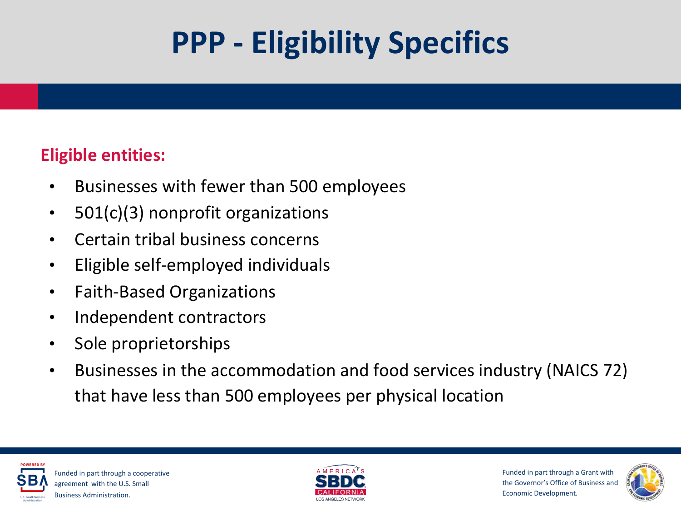# **PPP - Eligibility Specifics**

#### **Eligible entities:**

- Businesses with fewer than 500 employees
- 501(c)(3) nonprofit organizations
- Certain tribal business concerns
- Eligible self-employed individuals
- Faith-Based Organizations
- Independent contractors
- Sole proprietorships
- Businesses in the accommodation and food services industry (NAICS 72) that have less than 500 employees per physical location





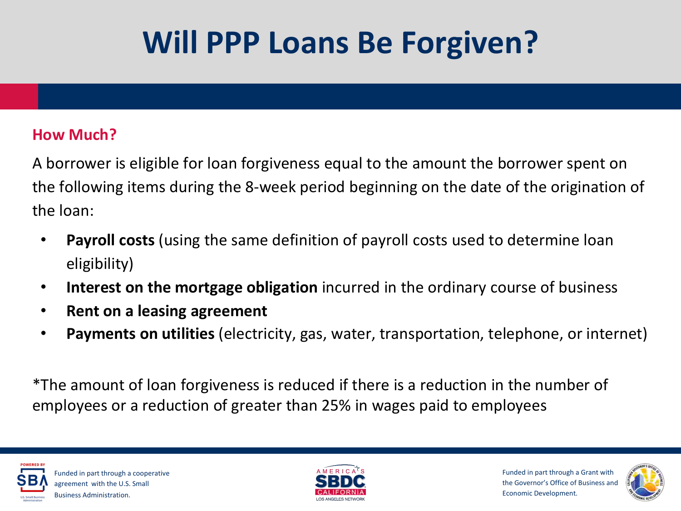# **Will PPP Loans Be Forgiven?**

#### **How Much?**

A borrower is eligible for loan forgiveness equal to the amount the borrower spent on the following items during the 8-week period beginning on the date of the origination of the loan:

- **Payroll costs** (using the same definition of payroll costs used to determine loan eligibility)
- **Interest on the mortgage obligation** incurred in the ordinary course of business
- **Rent on a leasing agreement**
- **Payments on utilities** (electricity, gas, water, transportation, telephone, or internet)

\*The amount of loan forgiveness is reduced if there is a reduction in the number of employees or a reduction of greater than 25% in wages paid to employees





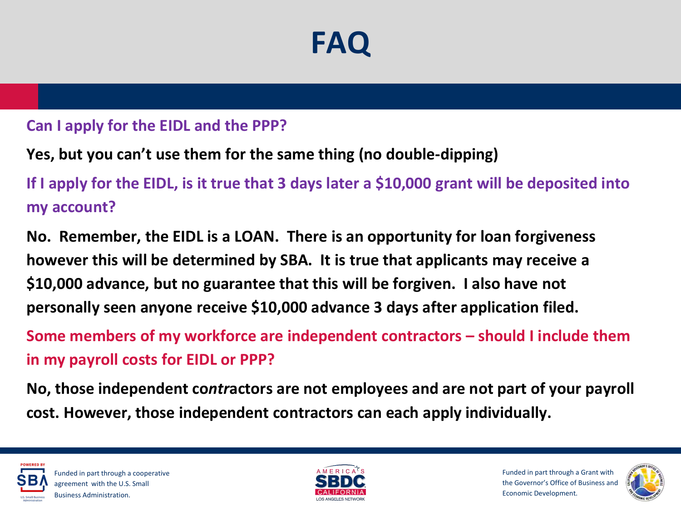## **FAQ**

#### **Can I apply for the EIDL and the PPP?**

#### **Yes, but you can't use them for the same thing (no double-dipping)**

**If I apply for the EIDL, is it true that 3 days later a \$10,000 grant will be deposited into my account?**

**No. Remember, the EIDL is a LOAN. There is an opportunity for loan forgiveness however this will be determined by SBA. It is true that applicants may receive a \$10,000 advance, but no guarantee that this will be forgiven. I also have not personally seen anyone receive \$10,000 advance 3 days after application filed.**

**Some members of my workforce are independent contractors – should I include them in my payroll costs for EIDL or PPP?**

**No, those independent co***ntr***actors are not employees and are not part of your payroll cost. However, those independent contractors can each apply individually.** 





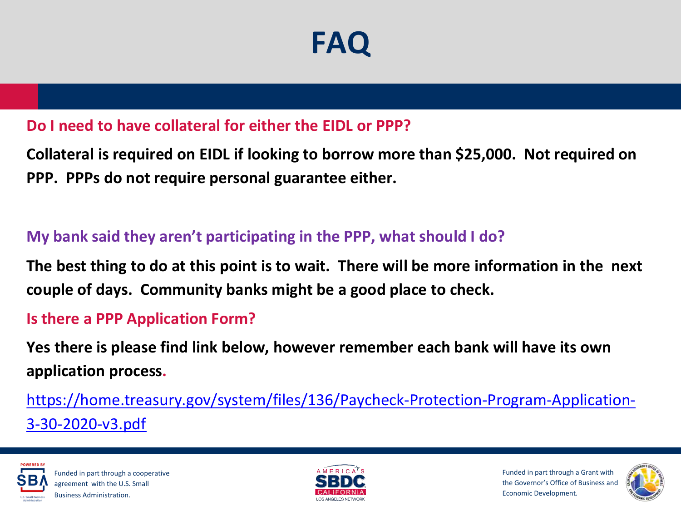## **FAQ**

#### **Do I need to have collateral for either the EIDL or PPP?**

**Collateral is required on EIDL if looking to borrow more than \$25,000. Not required on PPP. PPPs do not require personal guarantee either.**

#### **My bank said they aren't participating in the PPP, what should I do?**

**The best thing to do at this point is to wait. There will be more information in the next couple of days. Community banks might be a good place to check.**

#### **Is there a PPP Application Form?**

**Yes there is please find link below, however remember each bank will have its own application process.**

[https://home.treasury.gov/system/files/136/Paycheck-Protection-Program-Application-](https://home.treasury.gov/system/files/136/Paycheck-Protection-Program-Application-3-30-2020-v3.pdf)3-30-2020-v3.pdf